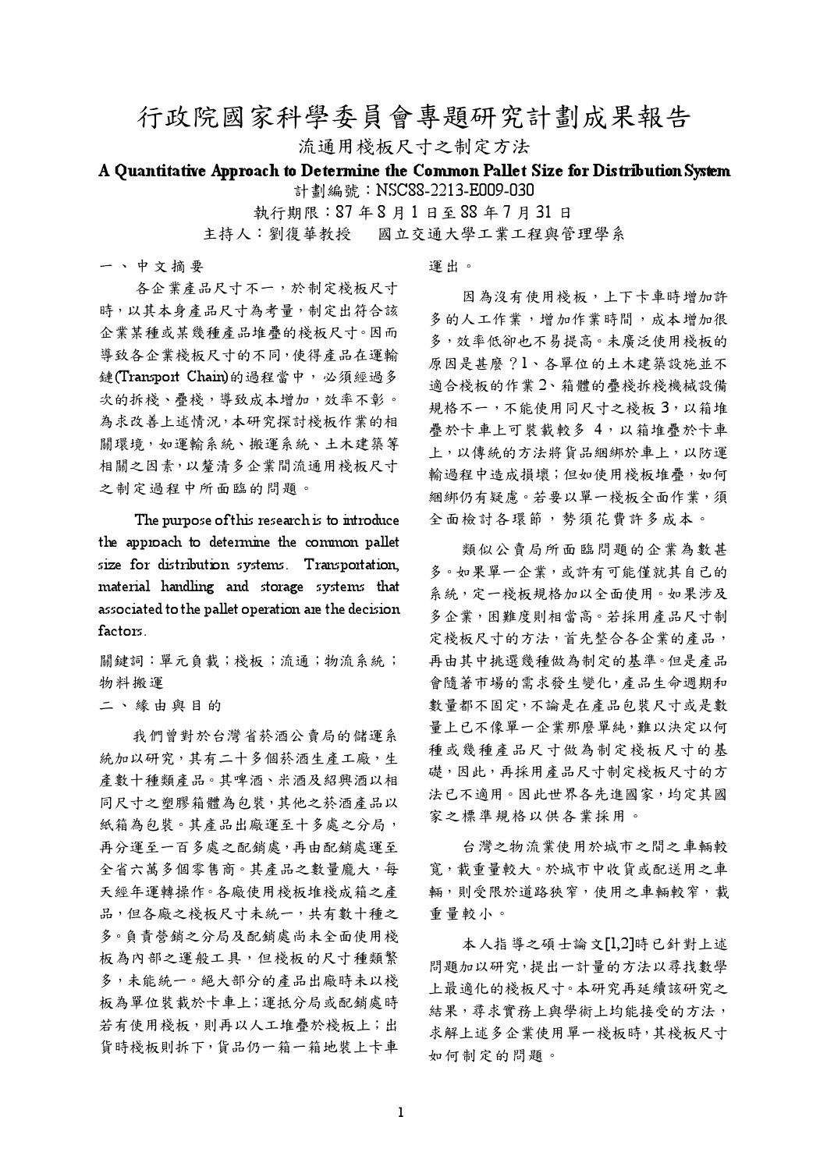## 行政院國家科學委員會專題研究計劃成果報告

流通用棧板尺寸之制定方法

A Quantitative Approach to Determine the Common Pallet Size for Distribution System 計劃編號: NSC88-2213-E009-030

> 執行期限: 87年8月1日至88年7月31日 國立交通大學工業工程與管理學系 主持人:劉復華教授

一、中文摘要

各企業產品尺寸不一,於制定棧板尺寸 時,以其本身產品尺寸為考量,制定出符合該 企業某種或某幾種產品堆疊的棧板尺寸。因而 導致各企業棧板尺寸的不同,使得產品在運輸 鏈(Transport Chain)的過程當中,必須經過多 次的拆棧、疊棧,導致成本增加,效率不彰。 為求改善上述情況,本研究探討棧板作業的相 關環境,如運輸系統、搬運系統、土木建築等 相關之因素,以釐清多企業間流通用棧板尺寸 之制定過程中所面臨的問題。

The purpose of this research is to introduce the approach to determine the common pallet size for distribution systems. Transportation, material handling and storage systems that associated to the pallet operation are the decision factors.

關鍵詞:單元負載;棧板;流通;物流系統; 物料搬運

二、緣由與目的

我們曾對於台灣省菸酒公賣局的儲運系 統加以研究,其有二十多個菸酒生產工廠,生 產數十種類產品。其啤酒、米酒及紹興酒以相 同尺寸之塑膠箱體為包裝,其他之菸酒產品以 紙箱為包裝。其產品出廠運至十多處之分局, 再分運至一百多處之配銷處,再由配銷處運至 全省六萬多個零售商。其產品之數量龐大,每 天經年運轉操作。各廠使用棧板堆棧成箱之產 品,但各廠之棧板尺寸未統一,共有數十種之 多。負責營銷之分局及配銷處尚未全面使用棧 板為內部之運般工具,但棧板的尺寸種類繁 多,未能統一。絕大部分的產品出廠時未以棧 板為單位裝載於卡車上;運抵分局或配銷處時 若有使用棧板,則再以人工堆疊於棧板上;出 貨時棧板則拆下,貨品仍一箱一箱地裝上卡車 運出。

因為沒有使用棧板,上下卡車時增加許 多的人工作業,增加作業時間,成本增加很 多,效率低卻也不易提高。未廣泛使用棧板的 原因是甚麼?1、各單位的土木建築設施並不 適合棧板的作業2、箱體的疊棧拆棧機械設備 規格不一,不能使用同尺寸之棧板3,以箱堆 疊於卡車上可裝載較多 4,以箱堆疊於卡車 上,以傳統的方法將貨品綑綁於車上,以防運 輸過程中造成損壞;但如使用棧板堆疊,如何 綑綁仍有疑慮。若要以單一棧板全面作業, 須 全面檢討各環節, 勢須花費許多成本。

類似公賣局所面臨問題的企業為數甚 多。如果單一企業,或許有可能僅就其自己的 系統,定一棧板規格加以全面使用。如果涉及 多企業, 困難度則相當高。若採用產品尺寸制 定棧板尺寸的方法,首先整合各企業的產品, 再由其中挑選幾種做為制定的基準。但是產品 會隨著市場的需求發生變化,產品生命週期和 數量都不固定,不論是在產品包裝尺寸或是數 量上已不像單一企業那麼單純,難以決定以何 種或幾種產品尺寸做為制定棧板尺寸的基 礎,因此,再採用產品尺寸制定棧板尺寸的方 法已不適用。因此世界各先進國家,均定其國 家之標準規格以供各業採用。

台灣之物流業使用於城市之間之車輛較 寬,載重量較大。於城市中收貨或配送用之車 輛,則受限於道路狹窄,使用之車輛較窄,載 重量較小。

本人指導之碩士論文[1,2]時已針對上述 問題加以研究,提出一計量的方法以尋找數學 上最適化的棧板尺寸。本研究再延續該研究之 結果,尋求實務上與學術上均能接受的方法, 求解上述多企業使用單一棧板時,其棧板尺寸 如何制定的問題。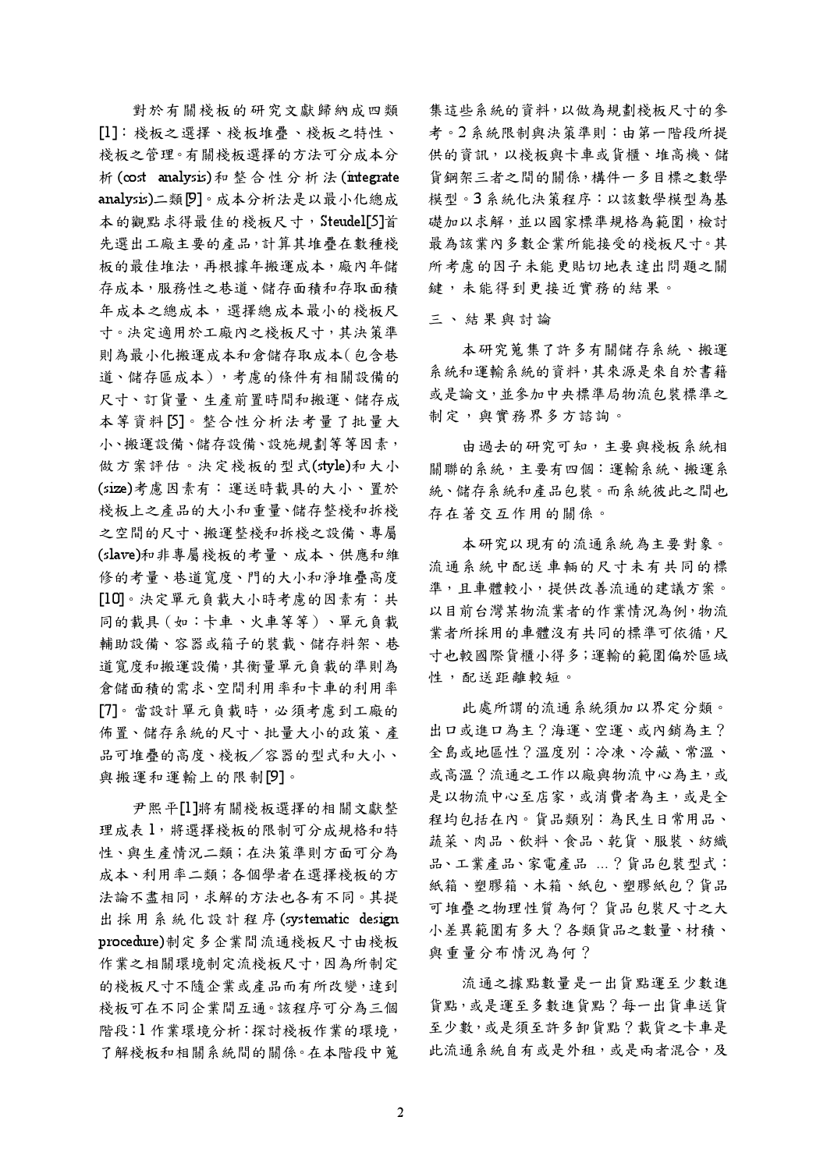對於有關棧板的研究文獻歸納成四類 [1]: 棧板之選擇、棧板堆疊、棧板之特性、 棧板之管理。有關棧板選擇的方法可分成本分 析 (cost analysis)和整合性分析法 (integrate analysis)二類[9]。成本分析法是以最小化總成 本的觀點求得最佳的棧板尺寸, Steudel[5]首 先選出工廠主要的產品,計算其堆疊在數種棧 板的最佳堆法,再根據年搬運成本,廠內年儲 存成本,服務性之巷道、儲存面積和存取面積 年成本之總成本,選擇總成本最小的棧板尺 寸。決定適用於工廠內之棧板尺寸,其決策準 則為最小化搬運成本和倉儲存取成本(包含巷 道、儲存區成本),考慮的條件有相關設備的 尺寸、訂貨量、生產前置時間和搬運、儲存成 本等資料[5]。整合性分析法考量了批量大 小、搬運設備、儲存設備、設施規劃等等因素, 做方案評估。決定棧板的型式(style)和大小 (size)考慮因素有:運送時載具的大小、置於 棧板上之產品的大小和重量、儲存整棧和拆棧 之空間的尺寸、搬運整棧和拆棧之設備、專屬 (slave)和非專屬棧板的考量、成本、供應和維 修的考量、巷道寬度、門的大小和淨堆疊高度 [10]。決定單元負載大小時考慮的因素有:共 同的載具 (如:卡車、火車等等)、單元負載 輔助設備、容器或箱子的裝載、儲存料架、巷 道寬度和搬運設備,其衡量單元負載的準則為 倉儲面積的需求、空間利用率和卡車的利用率 [7]。當設計單元負載時,必須考慮到工廠的 佈置、儲存系統的尺寸、批量大小的政策、產 品可堆疊的高度、棧板/容器的型式和大小、 與搬運和運輸上的限制[9]。

尹熙平[1]將有關棧板選擇的相關文獻整 理成表 1, 將選擇棧板的限制可分成規格和特 性、與生產情況二類;在決策準則方面可分為 成本、利用率二類;各個學者在選擇棧板的方 法論不盡相同,求解的方法也各有不同。其提 出採用系統化設計程序(systematic design procedure)制定多企業間流通棧板尺寸由棧板 作業之相關環境制定流棧板尺寸,因為所制定 的棧板尺寸不隨企業或產品而有所改變,達到 棧板可在不同企業間互通。該程序可分為三個 階段:1作業環境分析:探討棧板作業的環境, 了解棧板和相關系統間的關係。在本階段中蒐

集這些系統的資料,以做為規劃棧板尺寸的參 考。2系統限制與決策準則:由第一階段所提 供的資訊,以棧板與卡車或貨櫃、堆高機、儲 貨鋼架三者之間的關係,構件一多目標之數學 模型。3系統化決策程序:以該數學模型為基 礎加以求解,並以國家標準規格為範圍,檢討 最為該業內多數企業所能接受的棧板尺寸。其 所考慮的因子未能更貼切地表達出問題之關 鍵,未能得到更接近實務的結果。

三、結果與討論

本研究蒐集了許多有關儲存系統、搬運 系統和運輸系統的資料,其來源是來自於書籍 或是論文,並參加中央標準局物流包裝標準之 制定,與實務界多方諮詢。

由過去的研究可知,主要與棧板系統相 關聯的系統,主要有四個:運輸系統、搬運系 統、儲存系統和產品包裝。而系統彼此之間也 存在著交互作用的關係。

本研究以現有的流通系統為主要對象。 流通系統中配送車輛的尺寸未有共同的標 準,且車體較小,提供改善流通的建議方案。 以目前台灣某物流業者的作業情況為例,物流 業者所採用的車體沒有共同的標準可依循,尺 寸也較國際貨櫃小得多;運輸的範圍偏於區域 性,配送距離較短。

此處所謂的流通系統須加以界定分類。 出口或進口為主?海運、空運、或內銷為主? 全島或地區性?溫度別:冷凍、冷藏、常溫、 或高溫?流通之工作以廠與物流中心為主,或 是以物流中心至店家,或消費者為主,或是全 程均包括在內。貨品類別:為民生日常用品、 蔬菜、肉品、飲料、食品、乾貨、服裝、紡織 品、工業產品、家電產品 ...?貨品包裝型式: 紙箱、塑膠箱、木箱、紙包、塑膠紙包?貨品 可堆疊之物理性質為何?貨品包裝尺寸之大 小差異範圍有多大?各類貨品之數量、材積、 與重量分布情況為何?

流通之據點數量是一出貨點運至少數進 貨點,或是運至多數進貨點?每一出貨車送貨 至少數,或是須至許多卸貨點?載貨之卡車是 此流通系統自有或是外租,或是兩者混合,及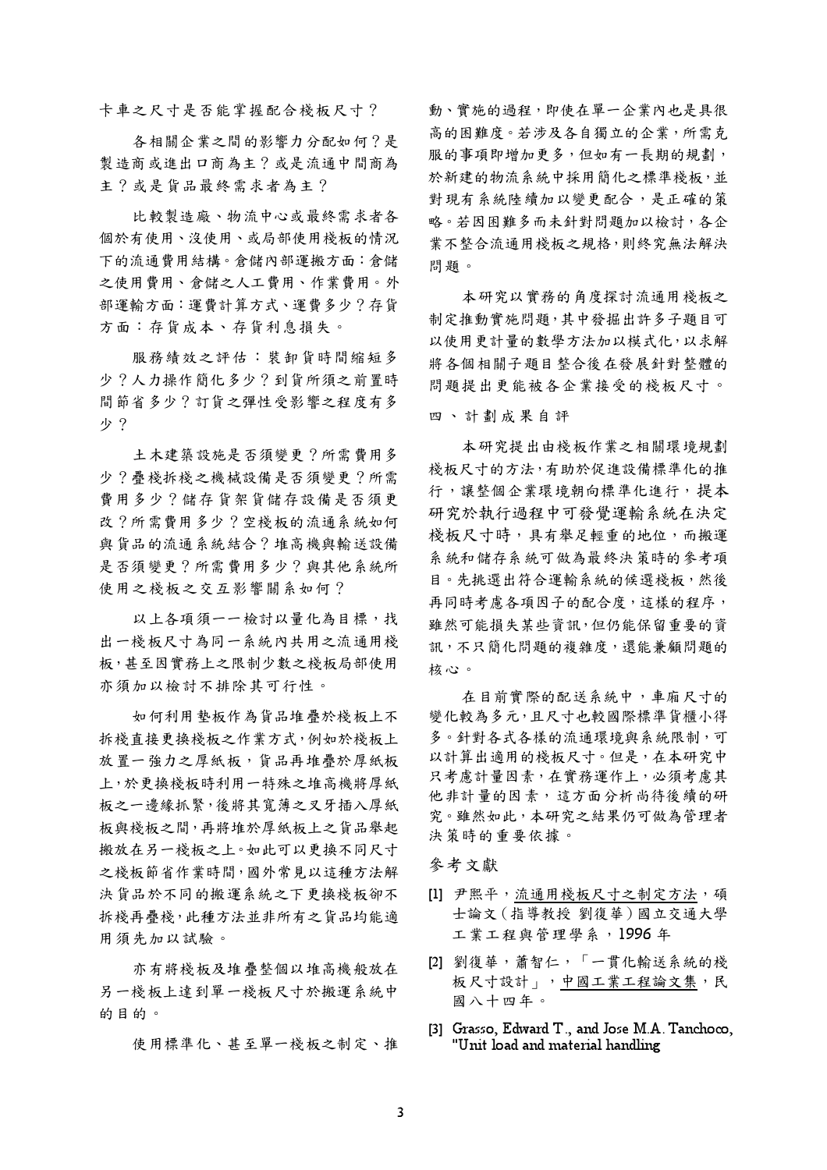卡車之尺寸是否能掌握配合棧板尺寸?

各相關企業之間的影響力分配如何?是 製造商或進出口商為主?或是流通中間商為 主?或是貨品最終需求者為主?

比較製造廠、物流中心或最終需求者各 個於有使用、沒使用、或局部使用棧板的情況 下的流通費用結構。倉儲內部運搬方面:倉儲 之使用費用、倉儲之人工費用、作業費用。外 部運輸方面:運費計算方式、運費多少?存貨 方面:存貨成本、存貨利息損失。

服務績效之評估:裝卸貨時間縮短多 少?人力操作簡化多少?到貨所須之前置時 間節省多少?訂貨之彈性受影響之程度有多 少?

土木建築設施是否須變更?所需費用多 少?疊棧拆棧之機械設備是否須變更?所需 費用多少?儲存貨架貨儲存設備是否須更 改?所需費用多少?空棧板的流通系統如何 與貨品的流通系統結合?堆高機與輸送設備 是否須變更?所需費用多少?與其他系統所 使用之棧板之交互影響關系如何?

以上各項須一一檢討以量化為目標,找 出一棧板尺寸為同一系統內共用之流通用棧 板,甚至因實務上之限制少數之棧板局部使用 亦須加以檢討不排除其可行性。

如何利用墊板作為貨品堆疊於棧板上不 拆棧直接更換棧板之作業方式,例如於棧板上 放置一強力之厚紙板,貨品再堆疊於厚紙板 上,於更換棧板時利用一特殊之堆高機將厚紙 板之一邊緣抓緊,後將其寬薄之叉牙插入厚紙 板與棧板之間,再將堆於厚紙板上之貨品舉起 搬放在另一棧板之上。如此可以更換不同尺寸 之棧板節省作業時間,國外常見以這種方法解 決貨品於不同的搬運系統之下更換棧板卻不 拆棧再疊棧,此種方法並非所有之貨品均能適 用須先加以試驗。

亦有將棧板及堆疊整個以堆高機般放在 另一棧板上達到單一棧板尺寸於搬運系統中 的目的。

使用標準化、甚至單一棧板之制定、推

動、實施的過程,即使在單一企業內也是具很 高的困難度。若涉及各自獨立的企業,所需克 服的事項即增加更多,但如有一長期的規劃, 於新建的物流系統中採用簡化之標準棧板,並 對現有系統陸續加以變更配合,是正確的策 略。若因困難多而未針對問題加以檢討,各企 業不整合流通用棧板之規格,則終究無法解決 問題。

本研究以實務的角度探討流通用棧板之 制定推動實施問題,其中發掘出許多子題目可 以使用更計量的數學方法加以模式化,以求解 將各個相關子題目整合後在發展針對整體的 問題提出更能被各企業接受的棧板尺寸。

四、計劃成果自評

本研究提出由棧板作業之相關環境規劃 **棧板尺寸的方法,有助於促進設備標準化的推** 行,讓整個企業環境朝向標準化進行,提本 研究於執行過程中可發覺運輸系統在決定 棧板尺寸時,具有舉足輕重的地位,而搬運 系統和儲存系統可做為最終決策時的參考項 目。先挑選出符合運輸系統的候選棧板,然後 再同時考慮各項因子的配合度,這樣的程序, 雖然可能損失某些資訊,但仍能保留重要的資 訊,不只簡化問題的複雜度,還能兼顧問題的 核心。

在目前實際的配送系統中,車廂尺寸的 變化較為多元,且尺寸也較國際標準貨櫃小得 多。針對各式各樣的流通環境與系統限制,可 以計算出適用的棧板尺寸。但是,在本研究中 只考慮計量因素,在實務運作上,必須考慮其 他非計量的因素,這方面分析尚待後續的研 究。雖然如此,本研究之結果仍可做為管理者 決策時的重要依據。

參考文獻

- [1] 尹熙平,流通用棧板尺寸之制定方法,碩 士論文 (指導教授 劉復華)國立交通大學 工業工程與管理學系,1996年
- [2] 劉復華,蕭智仁,「一貫化輸送系統的棧 板尺寸設計」,中國工業工程論文集,民 國八十四年。
- [3] Grasso, Edward T., and Jose M.A. Tanchoco. "Unit load and material handling